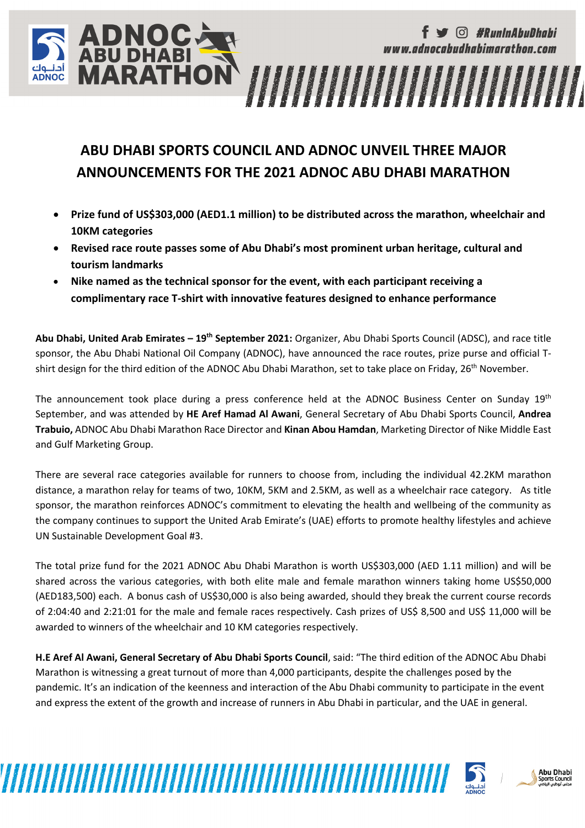### **ABU DHABI SPORTS COUNCIL AND ADNOC UNVEIL THREE MAJOR ANNOUNCEMENTS FOR THE 2021 ADNOC ABU DHABI MARATHON**

**ADNOCARD**<br>ABU DHABI<br>**MARATHON** 

- **Prize fund of US\$303,000 (AED1.1 million) to be distributed across the marathon, wheelchair and 10KM categories**
- **Revised race route passes some of Abu Dhabi's most prominent urban heritage, cultural and tourism landmarks**
- **Nike named as the technical sponsor for the event, with each participant receiving a complimentary race T-shirt with innovative features designed to enhance performance**

**Abu Dhabi, United Arab Emirates – 19th September 2021:** Organizer, Abu Dhabi Sports Council (ADSC), and race title sponsor, the Abu Dhabi National Oil Company (ADNOC), have announced the race routes, prize purse and official Tshirt design for the third edition of the ADNOC Abu Dhabi Marathon, set to take place on Friday, 26<sup>th</sup> November.

The announcement took place during a press conference held at the ADNOC Business Center on Sunday 19<sup>th</sup> September, and was attended by **HE Aref Hamad Al Awani**, General Secretary of Abu Dhabi Sports Council, **Andrea Trabuio,** ADNOC Abu Dhabi Marathon Race Director and **Kinan Abou Hamdan**, Marketing Director of Nike Middle East and Gulf Marketing Group.

There are several race categories available for runners to choose from, including the individual 42.2KM marathon distance, a marathon relay for teams of two, 10KM, 5KM and 2.5KM, as well as a wheelchair race category. As title sponsor, the marathon reinforces ADNOC's commitment to elevating the health and wellbeing of the community as the company continues to support the United Arab Emirate's (UAE) efforts to promote healthy lifestyles and achieve UN Sustainable Development Goal #3.

The total prize fund for the 2021 ADNOC Abu Dhabi Marathon is worth US\$303,000 (AED 1.11 million) and will be shared across the various categories, with both elite male and female marathon winners taking home US\$50,000 (AED183,500) each. A bonus cash of US\$30,000 is also being awarded, should they break the current course records of 2:04:40 and 2:21:01 for the male and female races respectively. Cash prizes of US\$ 8,500 and US\$ 11,000 will be awarded to winners of the wheelchair and 10 KM categories respectively.

**H.E Aref Al Awani, General Secretary of Abu Dhabi Sports Council**, said: "The third edition of the ADNOC Abu Dhabi Marathon is witnessing a great turnout of more than 4,000 participants, despite the challenges posed by the pandemic. It's an indication of the keenness and interaction of the Abu Dhabi community to participate in the event and express the extent of the growth and increase of runners in Abu Dhabi in particular, and the UAE in general.



*G* #RunInAbuDhabi

www.adnocabudhabimarathon.com

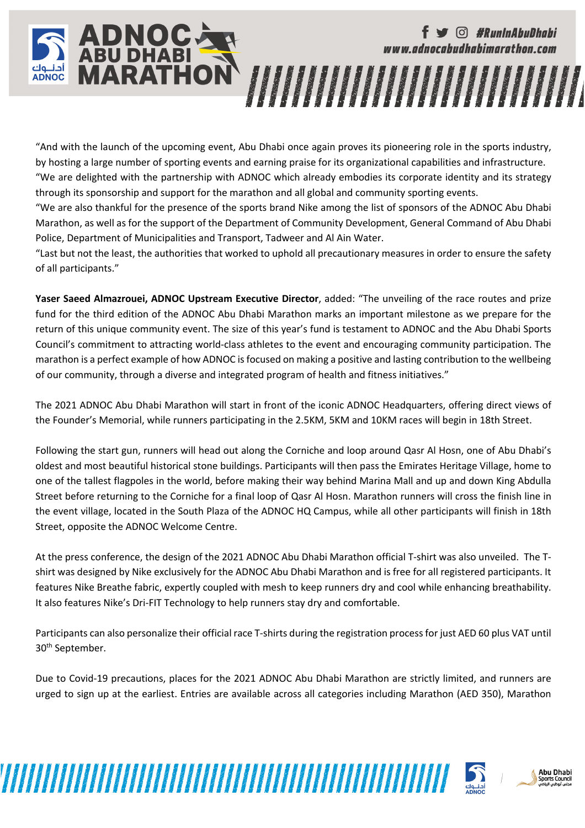# *G* #RunInAbuDhabi www.adnocabudhabimarathon.com

"And with the launch of the upcoming event, Abu Dhabi once again proves its pioneering role in the sports industry, by hosting a large number of sporting events and earning praise for its organizational capabilities and infrastructure. "We are delighted with the partnership with ADNOC which already embodies its corporate identity and its strategy through its sponsorship and support for the marathon and all global and community sporting events.

**ADNOCARD**<br>ABU DHABI<br>MARATHON

"We are also thankful for the presence of the sports brand Nike among the list of sponsors of the ADNOC Abu Dhabi Marathon, as well as for the support of the Department of Community Development, General Command of Abu Dhabi Police, Department of Municipalities and Transport, Tadweer and Al Ain Water.

"Last but not the least, the authorities that worked to uphold all precautionary measures in order to ensure the safety of all participants."

**Yaser Saeed Almazrouei, ADNOC Upstream Executive Director**, added: "The unveiling of the race routes and prize fund for the third edition of the ADNOC Abu Dhabi Marathon marks an important milestone as we prepare for the return of this unique community event. The size of this year's fund is testament to ADNOC and the Abu Dhabi Sports Council's commitment to attracting world-class athletes to the event and encouraging community participation. The marathon is a perfect example of how ADNOC is focused on making a positive and lasting contribution to the wellbeing of our community, through a diverse and integrated program of health and fitness initiatives."

The 2021 ADNOC Abu Dhabi Marathon will start in front of the iconic ADNOC Headquarters, offering direct views of the Founder's Memorial, while runners participating in the 2.5KM, 5KM and 10KM races will begin in 18th Street.

Following the start gun, runners will head out along the Corniche and loop around Qasr Al Hosn, one of Abu Dhabi's oldest and most beautiful historical stone buildings. Participants will then pass the Emirates Heritage Village, home to one of the tallest flagpoles in the world, before making their way behind Marina Mall and up and down King Abdulla Street before returning to the Corniche for a final loop of Qasr Al Hosn. Marathon runners will cross the finish line in the event village, located in the South Plaza of the ADNOC HQ Campus, while all other participants will finish in 18th Street, opposite the ADNOC Welcome Centre.

At the press conference, the design of the 2021 ADNOC Abu Dhabi Marathon official T-shirt was also unveiled. The Tshirt was designed by Nike exclusively for the ADNOC Abu Dhabi Marathon and is free for all registered participants. It features Nike Breathe fabric, expertly coupled with mesh to keep runners dry and cool while enhancing breathability. It also features Nike's Dri-FIT Technology to help runners stay dry and comfortable.

Participants can also personalize their official race T-shirts during the registration process for just AED 60 plus VAT until 30<sup>th</sup> September.

Due to Covid-19 precautions, places for the 2021 ADNOC Abu Dhabi Marathon are strictly limited, and runners are urged to sign up at the earliest. Entries are available across all categories including Marathon (AED 350), Marathon



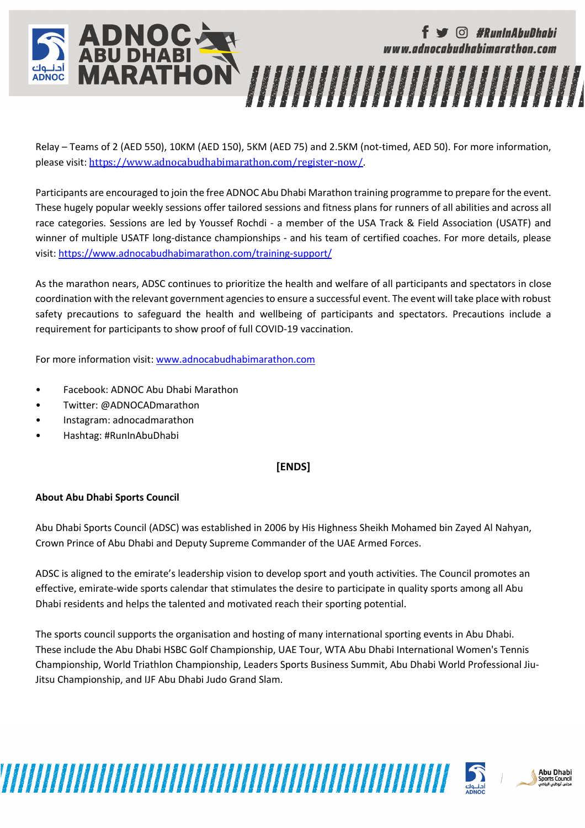

Relay – Teams of 2 (AED 550), 10KM (AED 150), 5KM (AED 75) and 2.5KM (not-timed, AED 50). For more information, please visit: https://www.adnocabudhabimarathon.com/register-now/.

Participants are encouraged to join the free ADNOC Abu Dhabi Marathon training programme to prepare for the event. These hugely popular weekly sessions offer tailored sessions and fitness plans for runners of all abilities and across all race categories. Sessions are led by Youssef Rochdi - a member of the USA Track & Field Association (USATF) and winner of multiple USATF long-distance championships - and his team of certified coaches. For more details, please visit: https://www.adnocabudhabimarathon.com/training-support/

As the marathon nears, ADSC continues to prioritize the health and welfare of all participants and spectators in close coordination with the relevant government agencies to ensure a successful event. The event will take place with robust safety precautions to safeguard the health and wellbeing of participants and spectators. Precautions include a requirement for participants to show proof of full COVID-19 vaccination.

For more information visit: www.adnocabudhabimarathon.com

- Facebook: ADNOC Abu Dhabi Marathon
- Twitter: @ADNOCADmarathon
- Instagram: adnocadmarathon
- Hashtag: #RunInAbuDhabi

#### **[ENDS]**

#### **About Abu Dhabi Sports Council**

Abu Dhabi Sports Council (ADSC) was established in 2006 by His Highness Sheikh Mohamed bin Zayed Al Nahyan, Crown Prince of Abu Dhabi and Deputy Supreme Commander of the UAE Armed Forces.

ADSC is aligned to the emirate's leadership vision to develop sport and youth activities. The Council promotes an effective, emirate-wide sports calendar that stimulates the desire to participate in quality sports among all Abu Dhabi residents and helps the talented and motivated reach their sporting potential.

The sports council supports the organisation and hosting of many international sporting events in Abu Dhabi. These include the Abu Dhabi HSBC Golf Championship, UAE Tour, WTA Abu Dhabi International Women's Tennis Championship, World Triathlon Championship, Leaders Sports Business Summit, Abu Dhabi World Professional Jiu-Jitsu Championship, and IJF Abu Dhabi Judo Grand Slam.

www.www.manageria.com/www.manageria.com/